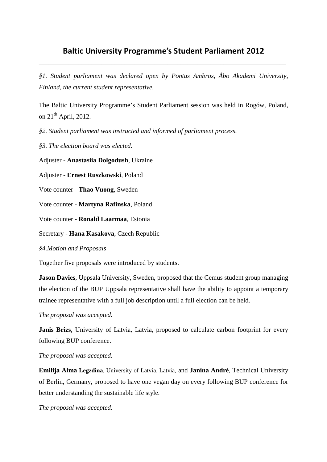# **Baltic University Programme's Student Parliament 2012**  \_\_\_\_\_\_\_\_\_\_\_\_\_\_\_\_\_\_\_\_\_\_\_\_\_\_\_\_\_\_\_\_\_\_\_\_\_\_\_\_\_\_\_\_\_\_\_\_\_\_\_\_\_\_\_\_\_\_\_\_\_\_\_\_\_\_\_\_\_\_\_\_\_\_\_

*§1. Student parliament was declared open by Pontus Ambros, Åbo Akademi University, Finland, the current student representative.* 

The Baltic University Programme's Student Parliament session was held in Rogów, Poland, on  $21<sup>th</sup>$  April, 2012.

*§2. Student parliament was instructed and informed of parliament process.* 

*§3. The election board was elected.* 

Adjuster - **Anastasiia Dolgodush**, Ukraine

Adjuster - **Ernest Ruszkowski**, Poland

Vote counter - **Thao Vuong**, Sweden

Vote counter - **Martyna Rafinska**, Poland

Vote counter - **Ronald Laarmaa**, Estonia

Secretary - **Hana Kasakova**, Czech Republic

*§4.Motion and Proposals* 

Together five proposals were introduced by students.

**Jason Davies**, Uppsala University, Sweden, proposed that the Cemus student group managing the election of the BUP Uppsala representative shall have the ability to appoint a temporary trainee representative with a full job description until a full election can be held.

#### *The proposal was accepted.*

**Janis Brizs**, University of Latvia, Latvia, proposed to calculate carbon footprint for every following BUP conference.

#### *The proposal was accepted.*

**Emilija Alma Legzdina**, University of Latvia, Latvia, and **Janina André**, Technical University of Berlin, Germany, proposed to have one vegan day on every following BUP conference for better understanding the sustainable life style.

*The proposal was accepted.*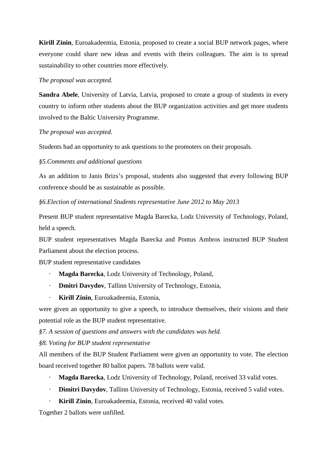**Kirill Zinin**, Euroakadeemia, Estonia, proposed to create a social BUP network pages, where everyone could share new ideas and events with theirs colleagues. The aim is to spread sustainability to other countries more effectively.

## *The proposal was accepted.*

Sandra Abele, University of Latvia, Latvia, proposed to create a group of students in every country to inform other students about the BUP organization activities and get more students involved to the Baltic University Programme.

## *The proposal was accepted.*

Students had an opportunity to ask questions to the promoters on their proposals.

## *§5.Comments and additional questions*

As an addition to Janis Brizs's proposal, students also suggested that every following BUP conference should be as sustainable as possible.

*§6.Election of international Students representative June 2012 to May 2013* 

Present BUP student representative Magda Barecka, Lodz University of Technology, Poland, held a speech.

BUP student representatives Magda Barecka and Pontus Ambros instructed BUP Student Parliament about the election process.

BUP student representative candidates

- ⋅ **Magda Barecka**, Lodz University of Technology, Poland,
- ⋅ **Dmitri Davydov**, Tallinn University of Technology, Estonia,
- ⋅ **Kirill Zinin**, Euroakadeemia, Estonia,

were given an opportunity to give a speech, to introduce themselves, their visions and their potential role as the BUP student representative.

*§7. A session of questions and answers with the candidates was held.* 

*§8. Voting for BUP student representative* 

All members of the BUP Student Parliament were given an opportunity to vote. The election board received together 80 ballot papers. 78 ballots were valid.

- Magda Barecka, Lodz University of Technology, Poland, received 33 valid votes.
- ⋅ **Dimitri Davydov**, Tallinn University of Technology, Estonia, received 5 valid votes.
- **Kirill Zinin**, Euroakadeemia, Estonia, received 40 valid votes.

Together 2 ballots were unfilled.